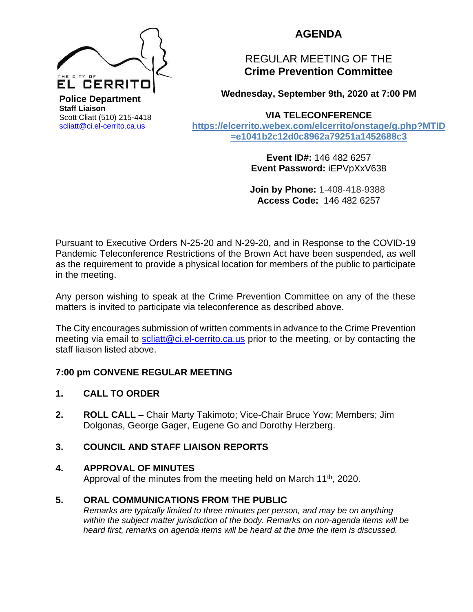

**AGENDA** 

# REGULAR MEETING OF THE **Crime Prevention Committee**

**Wednesday, September 9th, 2020 at 7:00 PM** 

## **VIA TELECONFERENCE**

**[https://elcerrito.webex.com/elcerrito/onstage/g.php?MTID](https://elcerrito.webex.com/elcerrito/onstage/g.php?MTID=e1041b2c12d0c8962a79251a1452688c3) [=e1041b2c12d0c8962a79251a1452688c3](https://elcerrito.webex.com/elcerrito/onstage/g.php?MTID=e1041b2c12d0c8962a79251a1452688c3)**

> **Event ID#:** 146 482 6257 **Event Password:** iEPVpXxV638

> **Join by Phone:** 1-408-418-9388 **Access Code:** 146 482 6257

Pursuant to Executive Orders N-25-20 and N-29-20, and in Response to the COVID-19 Pandemic Teleconference Restrictions of the Brown Act have been suspended, as well as the requirement to provide a physical location for members of the public to participate in the meeting.

Any person wishing to speak at the Crime Prevention Committee on any of the these matters is invited to participate via teleconference as described above.

The City encourages submission of written comments in advance to the Crime Prevention meeting via email to [scliatt@ci.el-cerrito.ca.us](mailto:scliatt@ci.el-cerrito.ca.us) prior to the meeting, or by contacting the staff liaison listed above.

## **7:00 pm CONVENE REGULAR MEETING**

## **1. CALL TO ORDER**

**2. ROLL CALL –** Chair Marty Takimoto; Vice-Chair Bruce Yow; Members; Jim Dolgonas, George Gager, Eugene Go and Dorothy Herzberg.

## **3. COUNCIL AND STAFF LIAISON REPORTS**

## **4. APPROVAL OF MINUTES**

Approval of the minutes from the meeting held on March  $11<sup>th</sup>$ , 2020.

## **5. ORAL COMMUNICATIONS FROM THE PUBLIC**

*Remarks are typically limited to three minutes per person, and may be on anything within the subject matter jurisdiction of the body. Remarks on non-agenda items will be heard first, remarks on agenda items will be heard at the time the item is discussed.*